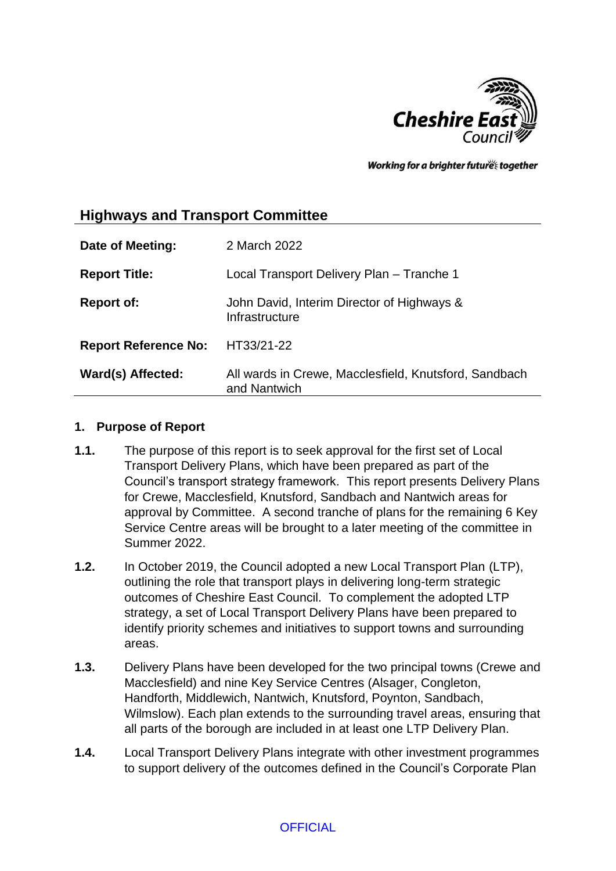

Working for a brighter futures together

# **Highways and Transport Committee**

| Date of Meeting:            | 2 March 2022                                                          |
|-----------------------------|-----------------------------------------------------------------------|
| <b>Report Title:</b>        | Local Transport Delivery Plan - Tranche 1                             |
| <b>Report of:</b>           | John David, Interim Director of Highways &<br>Infrastructure          |
| <b>Report Reference No:</b> | HT33/21-22                                                            |
| Ward(s) Affected:           | All wards in Crewe, Macclesfield, Knutsford, Sandbach<br>and Nantwich |

#### **1. Purpose of Report**

- **1.1.** The purpose of this report is to seek approval for the first set of Local Transport Delivery Plans, which have been prepared as part of the Council's transport strategy framework. This report presents Delivery Plans for Crewe, Macclesfield, Knutsford, Sandbach and Nantwich areas for approval by Committee. A second tranche of plans for the remaining 6 Key Service Centre areas will be brought to a later meeting of the committee in Summer 2022.
- **1.2.** In October 2019, the Council adopted a new Local Transport Plan (LTP), outlining the role that transport plays in delivering long-term strategic outcomes of Cheshire East Council. To complement the adopted LTP strategy, a set of Local Transport Delivery Plans have been prepared to identify priority schemes and initiatives to support towns and surrounding areas.
- **1.3.** Delivery Plans have been developed for the two principal towns (Crewe and Macclesfield) and nine Key Service Centres (Alsager, Congleton, Handforth, Middlewich, Nantwich, Knutsford, Poynton, Sandbach, Wilmslow). Each plan extends to the surrounding travel areas, ensuring that all parts of the borough are included in at least one LTP Delivery Plan.
- **1.4.** Local Transport Delivery Plans integrate with other investment programmes to support delivery of the outcomes defined in the Council's Corporate Plan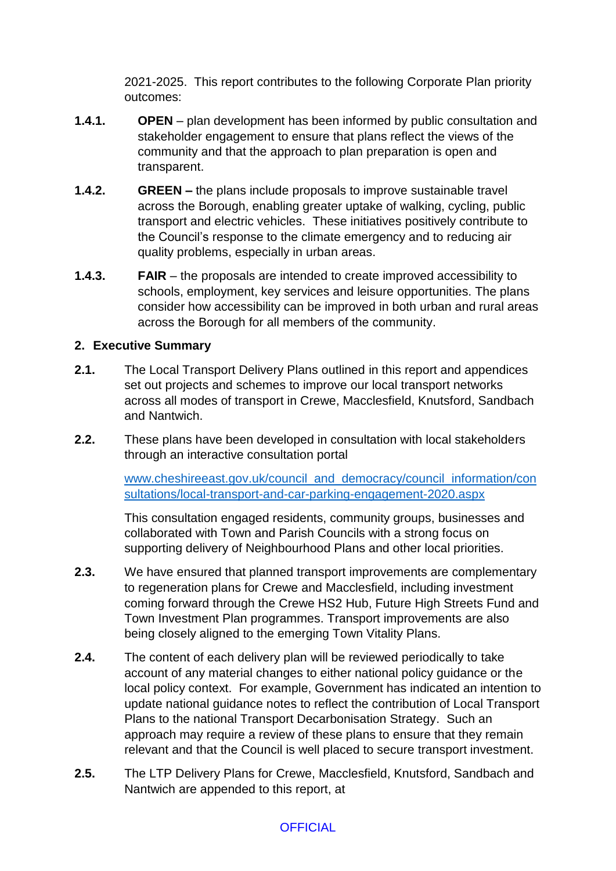2021-2025. This report contributes to the following Corporate Plan priority outcomes:

- **1.4.1. OPEN**  plan development has been informed by public consultation and stakeholder engagement to ensure that plans reflect the views of the community and that the approach to plan preparation is open and transparent.
- **1.4.2. GREEN –** the plans include proposals to improve sustainable travel across the Borough, enabling greater uptake of walking, cycling, public transport and electric vehicles. These initiatives positively contribute to the Council's response to the climate emergency and to reducing air quality problems, especially in urban areas.
- **1.4.3. FAIR**  the proposals are intended to create improved accessibility to schools, employment, key services and leisure opportunities. The plans consider how accessibility can be improved in both urban and rural areas across the Borough for all members of the community.

## **2. Executive Summary**

- **2.1.** The Local Transport Delivery Plans outlined in this report and appendices set out projects and schemes to improve our local transport networks across all modes of transport in Crewe, Macclesfield, Knutsford, Sandbach and Nantwich.
- **2.2.** These plans have been developed in consultation with local stakeholders through an interactive consultation portal

[www.cheshireeast.gov.uk/council\\_and\\_democracy/council\\_information/con](http://www.cheshireeast.gov.uk/council_and_democracy/council_information/consultations/local-transport-and-car-parking-engagement-2020.aspx) [sultations/local-transport-and-car-parking-engagement-2020.aspx](http://www.cheshireeast.gov.uk/council_and_democracy/council_information/consultations/local-transport-and-car-parking-engagement-2020.aspx)

This consultation engaged residents, community groups, businesses and collaborated with Town and Parish Councils with a strong focus on supporting delivery of Neighbourhood Plans and other local priorities.

- **2.3.** We have ensured that planned transport improvements are complementary to regeneration plans for Crewe and Macclesfield, including investment coming forward through the Crewe HS2 Hub, Future High Streets Fund and Town Investment Plan programmes. Transport improvements are also being closely aligned to the emerging Town Vitality Plans.
- **2.4.** The content of each delivery plan will be reviewed periodically to take account of any material changes to either national policy guidance or the local policy context. For example, Government has indicated an intention to update national guidance notes to reflect the contribution of Local Transport Plans to the national Transport Decarbonisation Strategy. Such an approach may require a review of these plans to ensure that they remain relevant and that the Council is well placed to secure transport investment.
- **2.5.** The LTP Delivery Plans for Crewe, Macclesfield, Knutsford, Sandbach and Nantwich are appended to this report, at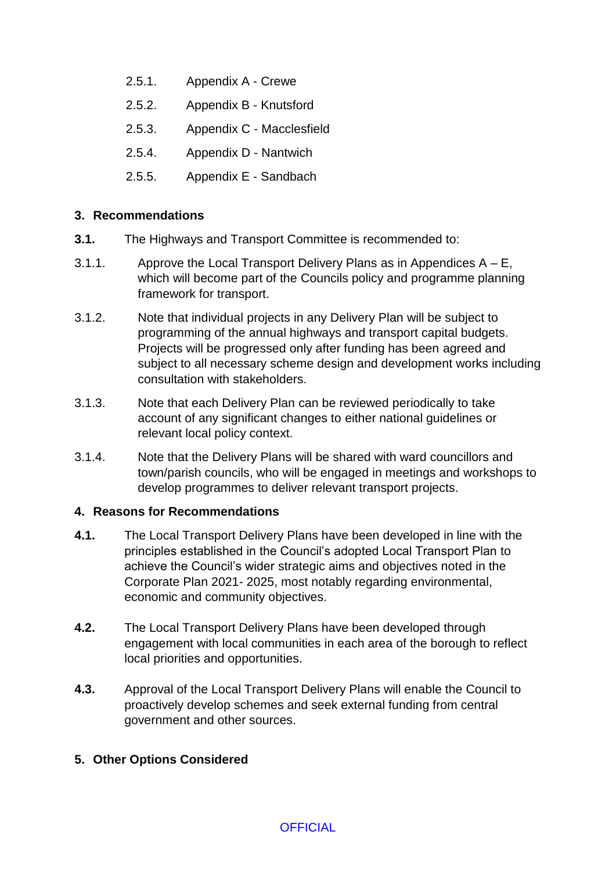- 2.5.1. Appendix A Crewe
- 2.5.2. Appendix B Knutsford
- 2.5.3. Appendix C Macclesfield
- 2.5.4. Appendix D Nantwich
- 2.5.5. Appendix E Sandbach

## **3. Recommendations**

- **3.1.** The Highways and Transport Committee is recommended to:
- 3.1.1. Approve the Local Transport Delivery Plans as in Appendices  $A E$ , which will become part of the Councils policy and programme planning framework for transport.
- 3.1.2. Note that individual projects in any Delivery Plan will be subject to programming of the annual highways and transport capital budgets. Projects will be progressed only after funding has been agreed and subject to all necessary scheme design and development works including consultation with stakeholders.
- 3.1.3. Note that each Delivery Plan can be reviewed periodically to take account of any significant changes to either national guidelines or relevant local policy context.
- 3.1.4. Note that the Delivery Plans will be shared with ward councillors and town/parish councils, who will be engaged in meetings and workshops to develop programmes to deliver relevant transport projects.

## **4. Reasons for Recommendations**

- **4.1.** The Local Transport Delivery Plans have been developed in line with the principles established in the Council's adopted Local Transport Plan to achieve the Council's wider strategic aims and objectives noted in the Corporate Plan 2021- 2025, most notably regarding environmental, economic and community objectives.
- **4.2.** The Local Transport Delivery Plans have been developed through engagement with local communities in each area of the borough to reflect local priorities and opportunities.
- **4.3.** Approval of the Local Transport Delivery Plans will enable the Council to proactively develop schemes and seek external funding from central government and other sources.

## **5. Other Options Considered**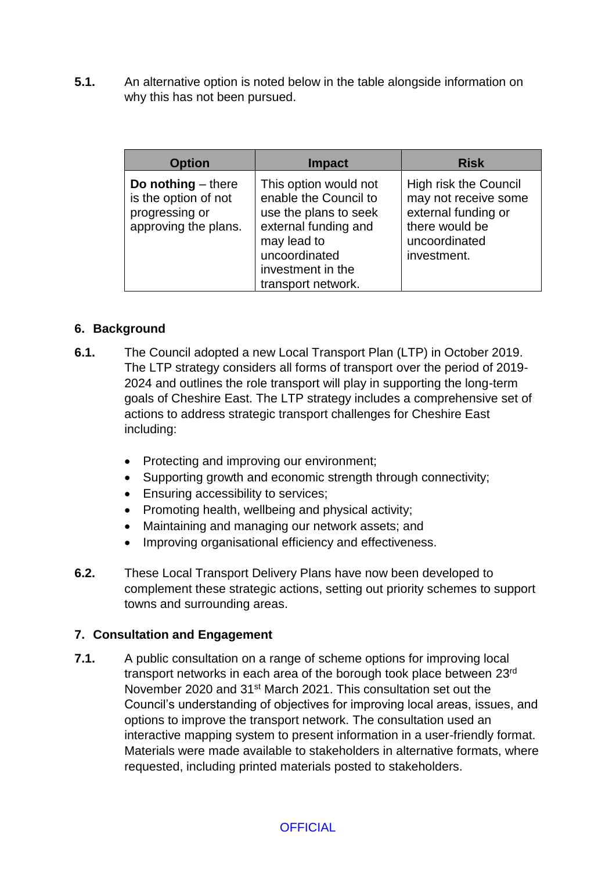**5.1.** An alternative option is noted below in the table alongside information on why this has not been pursued.

| <b>Option</b>                                                                          | <b>Impact</b>                                                                                                                                                              | <b>Risk</b>                                                                                                                   |
|----------------------------------------------------------------------------------------|----------------------------------------------------------------------------------------------------------------------------------------------------------------------------|-------------------------------------------------------------------------------------------------------------------------------|
| Do nothing $-$ there<br>is the option of not<br>progressing or<br>approving the plans. | This option would not<br>enable the Council to<br>use the plans to seek<br>external funding and<br>may lead to<br>uncoordinated<br>investment in the<br>transport network. | <b>High risk the Council</b><br>may not receive some<br>external funding or<br>there would be<br>uncoordinated<br>investment. |

### **6. Background**

- **6.1.** The Council adopted a new Local Transport Plan (LTP) in October 2019. The LTP strategy considers all forms of transport over the period of 2019- 2024 and outlines the role transport will play in supporting the long-term goals of Cheshire East. The LTP strategy includes a comprehensive set of actions to address strategic transport challenges for Cheshire East including:
	- Protecting and improving our environment;
	- Supporting growth and economic strength through connectivity;
	- **Ensuring accessibility to services;**
	- Promoting health, wellbeing and physical activity;
	- Maintaining and managing our network assets; and
	- Improving organisational efficiency and effectiveness.
- **6.2.** These Local Transport Delivery Plans have now been developed to complement these strategic actions, setting out priority schemes to support towns and surrounding areas.

#### **7. Consultation and Engagement**

**7.1.** A public consultation on a range of scheme options for improving local transport networks in each area of the borough took place between 23rd November 2020 and 31st March 2021. This consultation set out the Council's understanding of objectives for improving local areas, issues, and options to improve the transport network. The consultation used an interactive mapping system to present information in a user-friendly format. Materials were made available to stakeholders in alternative formats, where requested, including printed materials posted to stakeholders.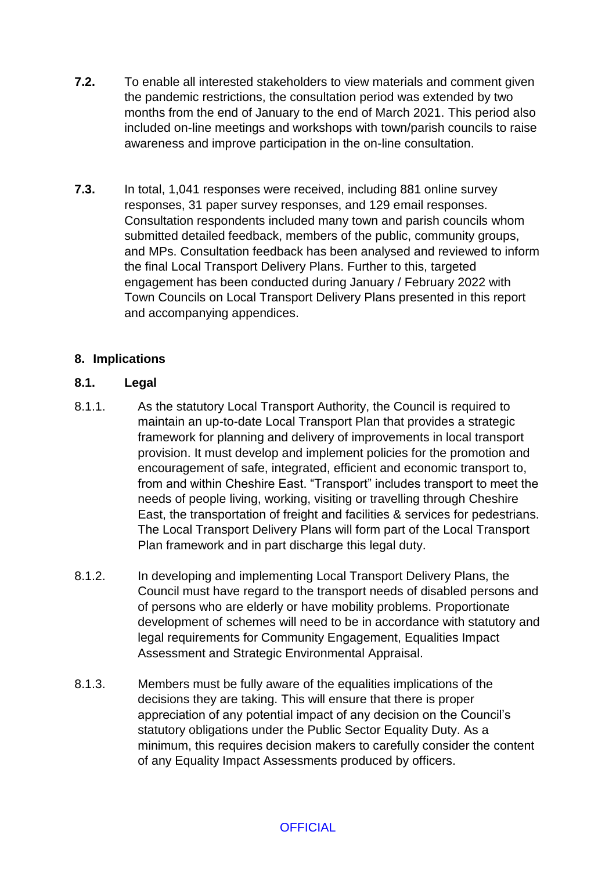- **7.2.** To enable all interested stakeholders to view materials and comment given the pandemic restrictions, the consultation period was extended by two months from the end of January to the end of March 2021. This period also included on-line meetings and workshops with town/parish councils to raise awareness and improve participation in the on-line consultation.
- **7.3.** In total, 1,041 responses were received, including 881 online survey responses, 31 paper survey responses, and 129 email responses. Consultation respondents included many town and parish councils whom submitted detailed feedback, members of the public, community groups, and MPs. Consultation feedback has been analysed and reviewed to inform the final Local Transport Delivery Plans. Further to this, targeted engagement has been conducted during January / February 2022 with Town Councils on Local Transport Delivery Plans presented in this report and accompanying appendices.

## **8. Implications**

### **8.1. Legal**

- 8.1.1. As the statutory Local Transport Authority, the Council is required to maintain an up-to-date Local Transport Plan that provides a strategic framework for planning and delivery of improvements in local transport provision. It must develop and implement policies for the promotion and encouragement of safe, integrated, efficient and economic transport to, from and within Cheshire East. "Transport" includes transport to meet the needs of people living, working, visiting or travelling through Cheshire East, the transportation of freight and facilities & services for pedestrians. The Local Transport Delivery Plans will form part of the Local Transport Plan framework and in part discharge this legal duty.
- 8.1.2. In developing and implementing Local Transport Delivery Plans, the Council must have regard to the transport needs of disabled persons and of persons who are elderly or have mobility problems. Proportionate development of schemes will need to be in accordance with statutory and legal requirements for Community Engagement, Equalities Impact Assessment and Strategic Environmental Appraisal.
- 8.1.3. Members must be fully aware of the equalities implications of the decisions they are taking. This will ensure that there is proper appreciation of any potential impact of any decision on the Council's statutory obligations under the Public Sector Equality Duty. As a minimum, this requires decision makers to carefully consider the content of any Equality Impact Assessments produced by officers.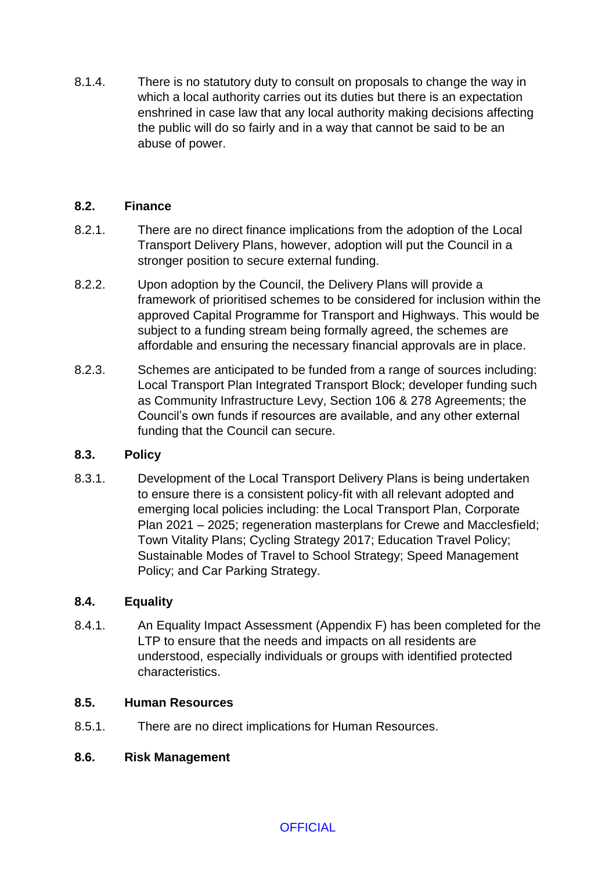8.1.4. There is no statutory duty to consult on proposals to change the way in which a local authority carries out its duties but there is an expectation enshrined in case law that any local authority making decisions affecting the public will do so fairly and in a way that cannot be said to be an abuse of power.

### **8.2. Finance**

- 8.2.1. There are no direct finance implications from the adoption of the Local Transport Delivery Plans, however, adoption will put the Council in a stronger position to secure external funding.
- 8.2.2. Upon adoption by the Council, the Delivery Plans will provide a framework of prioritised schemes to be considered for inclusion within the approved Capital Programme for Transport and Highways. This would be subject to a funding stream being formally agreed, the schemes are affordable and ensuring the necessary financial approvals are in place.
- 8.2.3. Schemes are anticipated to be funded from a range of sources including: Local Transport Plan Integrated Transport Block; developer funding such as Community Infrastructure Levy, Section 106 & 278 Agreements; the Council's own funds if resources are available, and any other external funding that the Council can secure.

## **8.3. Policy**

8.3.1. Development of the Local Transport Delivery Plans is being undertaken to ensure there is a consistent policy-fit with all relevant adopted and emerging local policies including: the Local Transport Plan, Corporate Plan 2021 – 2025; regeneration masterplans for Crewe and Macclesfield; Town Vitality Plans; Cycling Strategy 2017; Education Travel Policy; Sustainable Modes of Travel to School Strategy; Speed Management Policy; and Car Parking Strategy.

#### **8.4. Equality**

8.4.1. An Equality Impact Assessment (Appendix F) has been completed for the LTP to ensure that the needs and impacts on all residents are understood, especially individuals or groups with identified protected characteristics.

### **8.5. Human Resources**

8.5.1. There are no direct implications for Human Resources.

#### **8.6. Risk Management**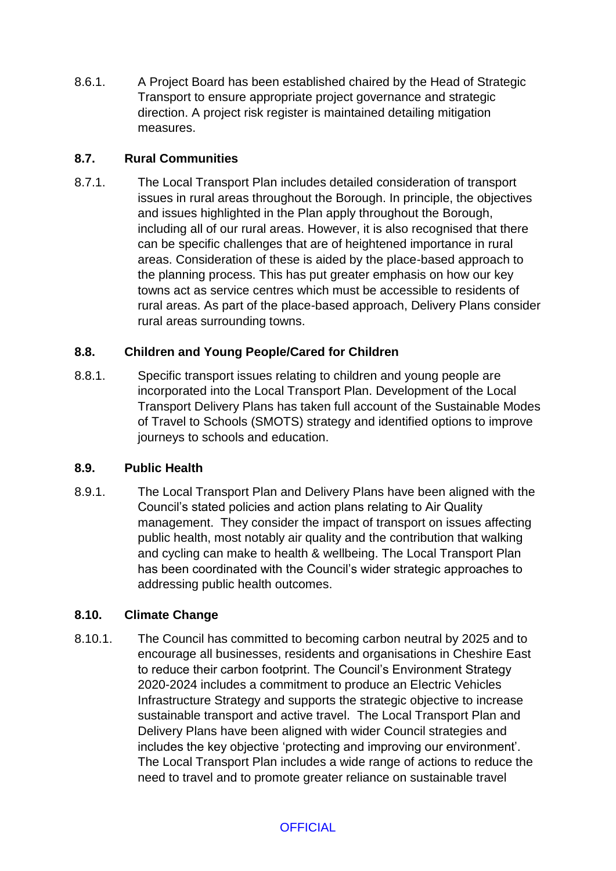8.6.1. A Project Board has been established chaired by the Head of Strategic Transport to ensure appropriate project governance and strategic direction. A project risk register is maintained detailing mitigation measures.

## **8.7. Rural Communities**

8.7.1. The Local Transport Plan includes detailed consideration of transport issues in rural areas throughout the Borough. In principle, the objectives and issues highlighted in the Plan apply throughout the Borough, including all of our rural areas. However, it is also recognised that there can be specific challenges that are of heightened importance in rural areas. Consideration of these is aided by the place-based approach to the planning process. This has put greater emphasis on how our key towns act as service centres which must be accessible to residents of rural areas. As part of the place-based approach, Delivery Plans consider rural areas surrounding towns.

## **8.8. Children and Young People/Cared for Children**

8.8.1. Specific transport issues relating to children and young people are incorporated into the Local Transport Plan. Development of the Local Transport Delivery Plans has taken full account of the Sustainable Modes of Travel to Schools (SMOTS) strategy and identified options to improve journeys to schools and education.

## **8.9. Public Health**

8.9.1. The Local Transport Plan and Delivery Plans have been aligned with the Council's stated policies and action plans relating to Air Quality management. They consider the impact of transport on issues affecting public health, most notably air quality and the contribution that walking and cycling can make to health & wellbeing. The Local Transport Plan has been coordinated with the Council's wider strategic approaches to addressing public health outcomes.

# **8.10. Climate Change**

8.10.1. The Council has committed to becoming carbon neutral by 2025 and to encourage all businesses, residents and organisations in Cheshire East to reduce their carbon footprint. The Council's Environment Strategy 2020-2024 includes a commitment to produce an Electric Vehicles Infrastructure Strategy and supports the strategic objective to increase sustainable transport and active travel. The Local Transport Plan and Delivery Plans have been aligned with wider Council strategies and includes the key objective 'protecting and improving our environment'. The Local Transport Plan includes a wide range of actions to reduce the need to travel and to promote greater reliance on sustainable travel